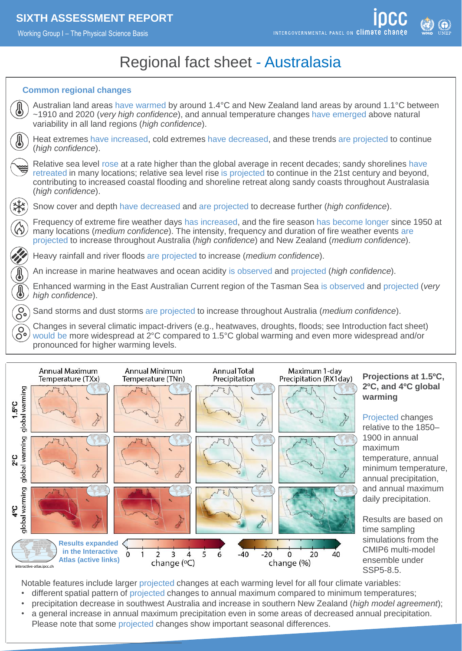Working Group I – The Physical Science Basis



# Regional fact sheet - Australasia

### **Common regional changes**





Notable features include larger projected changes at each warming level for all four climate variables:

- different spatial pattern of projected changes to annual maximum compared to minimum temperatures;
- precipitation decrease in southwest Australia and increase in southern New Zealand (*high model agreement*);
- a general increase in annual maximum precipitation even in some areas of decreased annual precipitation. Please note that some projected changes show important seasonal differences.